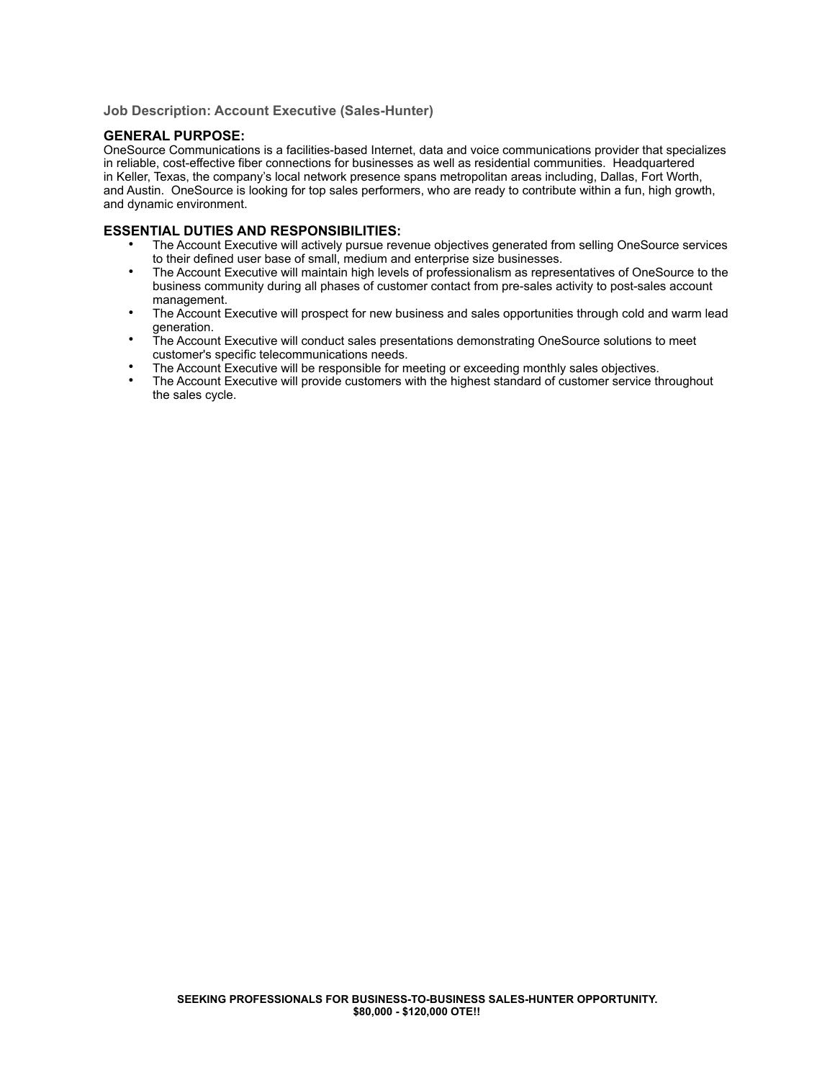**Job Description: Account Executive (Sales-Hunter)**

# **GENERAL PURPOSE:**

OneSource Communications is a facilities-based Internet, data and voice communications provider that specializes in reliable, cost-effective fiber connections for businesses as well as residential communities. Headquartered in Keller, Texas, the company's local network presence spans metropolitan areas including, Dallas, Fort Worth, and Austin. OneSource is looking for top sales performers, who are ready to contribute within a fun, high growth, and dynamic environment.

### **ESSENTIAL DUTIES AND RESPONSIBILITIES:**

- The Account Executive will actively pursue revenue objectives generated from selling OneSource services to their defined user base of small, medium and enterprise size businesses.
- The Account Executive will maintain high levels of professionalism as representatives of OneSource to the business community during all phases of customer contact from pre-sales activity to post-sales account management.
- The Account Executive will prospect for new business and sales opportunities through cold and warm lead generation.
- The Account Executive will conduct sales presentations demonstrating OneSource solutions to meet customer's specific telecommunications needs.
- The Account Executive will be responsible for meeting or exceeding monthly sales objectives.
- The Account Executive will provide customers with the highest standard of customer service throughout the sales cycle.